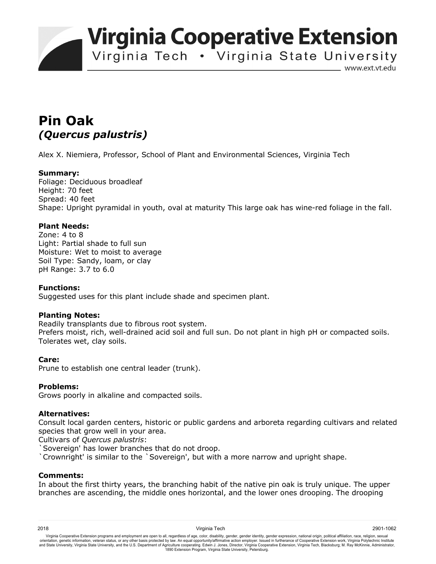**Virginia Cooperative Extension** 

Virginia Tech . Virginia State University

www.ext.vt.edu

# **Pin Oak**  *(Quercus palustris)*

Alex X. Niemiera, Professor, School of Plant and Environmental Sciences, Virginia Tech

## **Summary:**

Foliage: Deciduous broadleaf Height: 70 feet Spread: 40 feet Shape: Upright pyramidal in youth, oval at maturity This large oak has wine-red foliage in the fall.

### **Plant Needs:**

Zone: 4 to 8 Light: Partial shade to full sun Moisture: Wet to moist to average Soil Type: Sandy, loam, or clay pH Range: 3.7 to 6.0

#### **Functions:**

Suggested uses for this plant include shade and specimen plant.

#### **Planting Notes:**

Readily transplants due to fibrous root system. Prefers moist, rich, well-drained acid soil and full sun. Do not plant in high pH or compacted soils. Tolerates wet, clay soils.

#### **Care:**

Prune to establish one central leader (trunk).

#### **Problems:**

Grows poorly in alkaline and compacted soils.

#### **Alternatives:**

Consult local garden centers, historic or public gardens and arboreta regarding cultivars and related species that grow well in your area.

Cultivars of *Quercus palustris*:

Sovereign' has lower branches that do not droop.

`Crownright' is similar to the `Sovereign', but with a more narrow and upright shape.

#### **Comments:**

In about the first thirty years, the branching habit of the native pin oak is truly unique. The upper branches are ascending, the middle ones horizontal, and the lower ones drooping. The drooping

Virginia Cooperative Extension programs and employment are open to all, regardless of age, color, disability, gender, gender identity, gender expression, national origin, political affiliation, race, religion, sexual orientation, genetic information, veteran status, or any other basis protected by law. An equal opportunity/affirmative action employer. Issued in furtherance of Cooperative Extension work, Virginia Polytechnic Institute<br>a 1890 Extension Program, Virginia State University, Petersburg.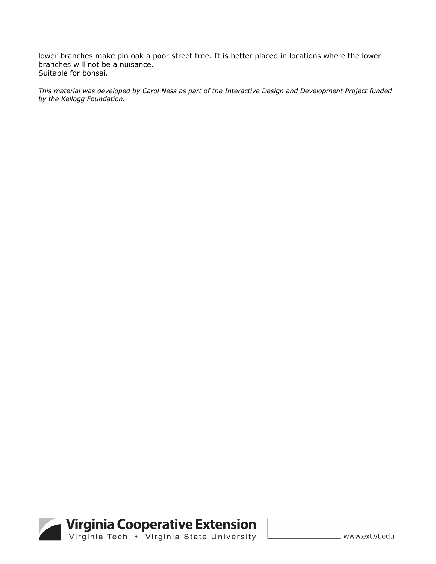lower branches make pin oak a poor street tree. It is better placed in locations where the lower branches will not be a nuisance. Suitable for bonsai.

*This material was developed by Carol Ness as part of the Interactive Design and Development Project funded by the Kellogg Foundation.*